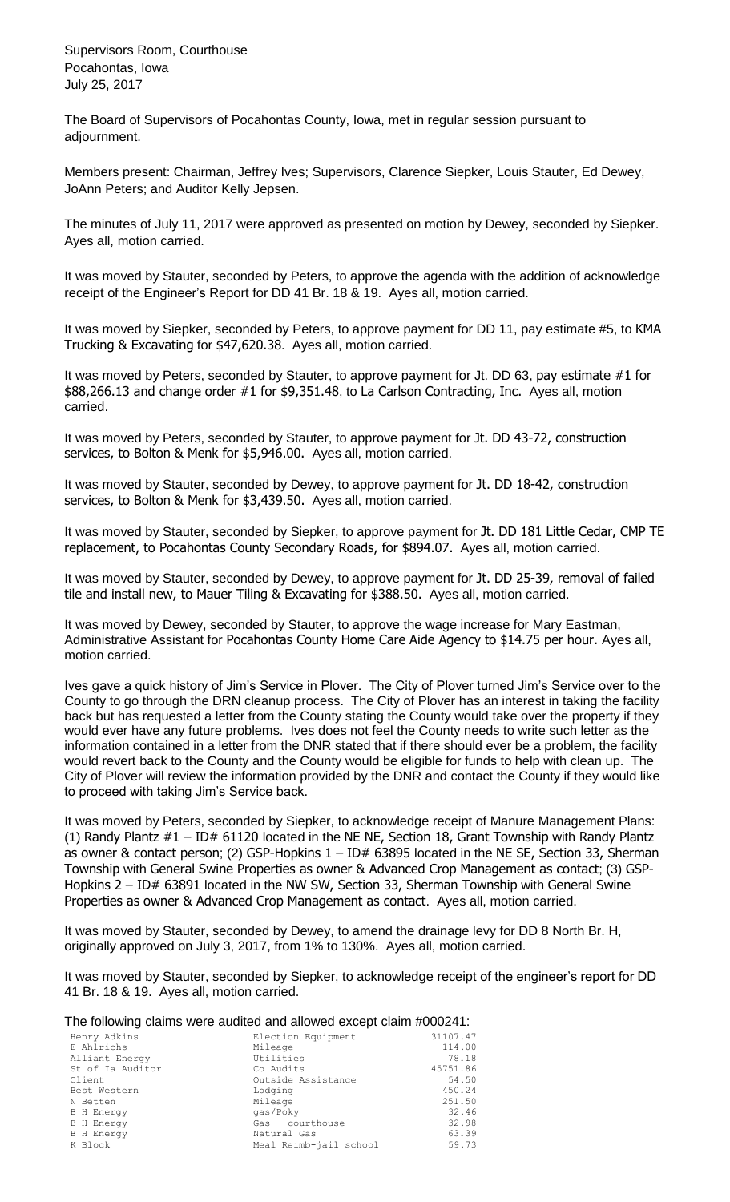Supervisors Room, Courthouse Pocahontas, Iowa July 25, 2017

The Board of Supervisors of Pocahontas County, Iowa, met in regular session pursuant to adjournment.

Members present: Chairman, Jeffrey Ives; Supervisors, Clarence Siepker, Louis Stauter, Ed Dewey, JoAnn Peters; and Auditor Kelly Jepsen.

The minutes of July 11, 2017 were approved as presented on motion by Dewey, seconded by Siepker. Ayes all, motion carried.

It was moved by Stauter, seconded by Peters, to approve the agenda with the addition of acknowledge receipt of the Engineer's Report for DD 41 Br. 18 & 19. Ayes all, motion carried.

It was moved by Siepker, seconded by Peters, to approve payment for DD 11, pay estimate #5, to KMA Trucking & Excavating for \$47,620.38. Ayes all, motion carried.

It was moved by Peters, seconded by Stauter, to approve payment for Jt. DD 63, pay estimate #1 for \$88,266.13 and change order #1 for \$9,351.48, to La Carlson Contracting, Inc. Ayes all, motion carried.

It was moved by Peters, seconded by Stauter, to approve payment for Jt. DD 43-72, construction services, to Bolton & Menk for \$5,946.00. Ayes all, motion carried.

It was moved by Stauter, seconded by Dewey, to approve payment for Jt. DD 18-42, construction services, to Bolton & Menk for \$3,439.50. Ayes all, motion carried.

It was moved by Stauter, seconded by Siepker, to approve payment for Jt. DD 181 Little Cedar, CMP TE replacement, to Pocahontas County Secondary Roads, for \$894.07. Ayes all, motion carried.

It was moved by Stauter, seconded by Dewey, to approve payment for Jt. DD 25-39, removal of failed tile and install new, to Mauer Tiling & Excavating for \$388.50. Ayes all, motion carried.

It was moved by Dewey, seconded by Stauter, to approve the wage increase for Mary Eastman, Administrative Assistant for Pocahontas County Home Care Aide Agency to \$14.75 per hour. Ayes all, motion carried.

Ives gave a quick history of Jim's Service in Plover. The City of Plover turned Jim's Service over to the County to go through the DRN cleanup process. The City of Plover has an interest in taking the facility back but has requested a letter from the County stating the County would take over the property if they would ever have any future problems. Ives does not feel the County needs to write such letter as the information contained in a letter from the DNR stated that if there should ever be a problem, the facility would revert back to the County and the County would be eligible for funds to help with clean up. The City of Plover will review the information provided by the DNR and contact the County if they would like to proceed with taking Jim's Service back.

It was moved by Peters, seconded by Siepker, to acknowledge receipt of Manure Management Plans: (1) Randy Plantz  $#1 - ID# 61120$  located in the NE NE, Section 18, Grant Township with Randy Plantz as owner & contact person; (2) GSP-Hopkins  $1 - ID# 63895$  located in the NE SE, Section 33, Sherman Township with General Swine Properties as owner & Advanced Crop Management as contact; (3) GSP-Hopkins 2 – ID# 63891 located in the NW SW, Section 33, Sherman Township with General Swine Properties as owner & Advanced Crop Management as contact. Ayes all, motion carried.

It was moved by Stauter, seconded by Dewey, to amend the drainage levy for DD 8 North Br. H, originally approved on July 3, 2017, from 1% to 130%. Ayes all, motion carried.

It was moved by Stauter, seconded by Siepker, to acknowledge receipt of the engineer's report for DD 41 Br. 18 & 19. Ayes all, motion carried.

## The following claims were audited and allowed except claim #000241:

| Henry Adkins      | Election Equipment     | 31107.47 |
|-------------------|------------------------|----------|
| E Ahlrichs        | Mileage                | 114.00   |
| Alliant Energy    | Utilities              | 78.18    |
| St of Ia Auditor  | Co Audits              | 45751.86 |
| Client            | Outside Assistance     | 54.50    |
| Best Western      | Lodging                | 450.24   |
| N Betten          | Mileage                | 251.50   |
| <b>B</b> H Energy | gas/Poky               | 32.46    |
| <b>B</b> H Energy | Gas - courthouse       | 32.98    |
| <b>B</b> H Energy | Natural Gas            | 63.39    |
| K Block           | Meal Reimb-jail school | 59.73    |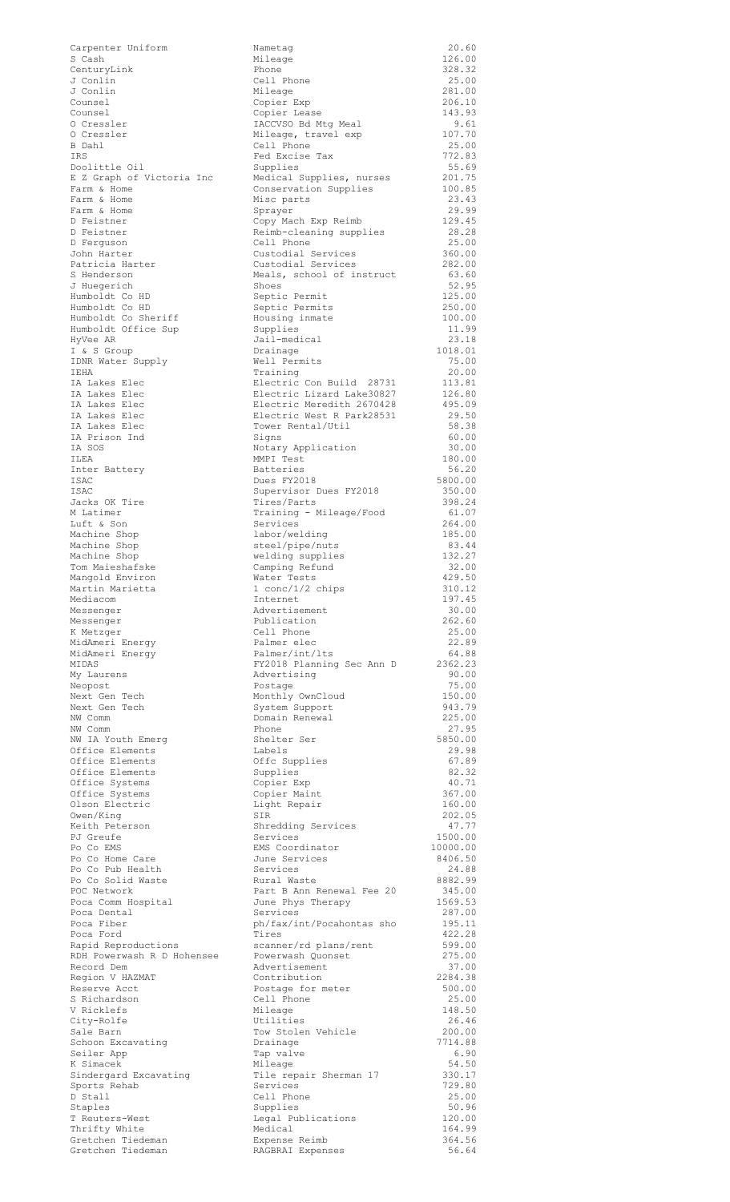| Carpenter Uniform                          | Nametag                                                | 20.60             |
|--------------------------------------------|--------------------------------------------------------|-------------------|
| S Cash<br>CenturyLink                      | Mileage<br>Phone                                       | 126.00<br>328.32  |
| J Conlin                                   | Cell Phone                                             | 25.00             |
| J Conlin                                   | Mileage                                                | 281.00            |
| Counsel<br>Counsel                         | Copier Exp                                             | 206.10            |
| O Cressler                                 | Copier Lease<br>IACCVSO Bd Mtg Meal                    | 143.93<br>9.61    |
| 0 Cressler                                 | Mileage, travel exp                                    | 107.70            |
| B Dahl                                     | Cell Phone                                             | 25.00             |
| IRS                                        | Fed Excise Tax                                         | 772.83            |
| Doolittle Oil<br>E Z Graph of Victoria Inc | Supplies<br>Medical Supplies, nurses                   | 55.69<br>201.75   |
| Farm & Home                                | Conservation Supplies                                  | 100.85            |
| Farm & Home                                | Misc parts                                             | 23.43             |
| Farm & Home                                | Sprayer                                                | 29.99             |
| D Feistner<br>D Feistner                   | Copy Mach Exp Reimb                                    | 129.45<br>28.28   |
| D Ferquson                                 | Reimb-cleaning supplies<br>Cell Phone                  | 25.00             |
| John Harter                                | Custodial Services                                     | 360.00            |
| Patricia Harter                            | Custodial Services                                     | 282.00            |
| S Henderson<br>J Huegerich                 | Meals, school of instruct<br>Shoes                     | 63.60             |
| Humboldt Co HD                             | Septic Permit                                          | 52.95<br>125.00   |
| Humboldt Co HD                             | Septic Permits                                         | 250.00            |
| Humboldt Co Sheriff                        | Housing inmate                                         | 100.00            |
| Humboldt Office Sup                        | Supplies                                               | 11.99             |
| HyVee AR<br>I & S Group                    | Jail-medical<br>Drainage                               | 23.18<br>1018.01  |
| IDNR Water Supply                          | Well Permits                                           | 75.00             |
| IEHA                                       | Training                                               | 20.00             |
| IA Lakes Elec                              | Electric Con Build 28731                               | 113.81            |
| IA Lakes Elec<br>IA Lakes Elec             | Electric Lizard Lake30827<br>Electric Meredith 2670428 | 126.80<br>495.09  |
| IA Lakes Elec                              | Electric West R Park28531                              | 29.50             |
| IA Lakes Elec                              | Tower Rental/Util                                      | 58.38             |
| IA Prison Ind                              | Signs                                                  | 60.00             |
| IA SOS                                     | Notary Application                                     | 30.00             |
| ILEA<br>Inter Battery                      | MMPI Test<br><b>Batteries</b>                          | 180.00<br>56.20   |
| ISAC                                       | Dues FY2018                                            | 5800.00           |
| ISAC                                       | Supervisor Dues FY2018                                 | 350.00            |
| Jacks OK Tire                              | Tires/Parts                                            | 398.24            |
| M Latimer<br>Luft & Son                    | Training - Mileage/Food<br>Services                    | 61.07             |
| Machine Shop                               | labor/welding                                          | 264.00<br>185.00  |
| Machine Shop                               | steel/pipe/nuts                                        | 83.44             |
| Machine Shop                               | welding supplies                                       | 132.27            |
| Tom Maieshafske                            | Camping Refund                                         | 32.00             |
| Mangold Environ<br>Martin Marietta         | Water Tests<br>$1$ conc/ $1/2$ chips                   | 429.50<br>310.12  |
| Mediacom                                   | Internet                                               | 197.45            |
| Messenger                                  | Advertisement                                          | 30.00             |
| Messenger                                  | Publication                                            | 262.60            |
| K Metzger<br>MidAmeri Energy               | Cell Phone<br>Palmer elec                              | 25.00<br>22.89    |
| MidAmeri Energy                            | Palmer/int/lts                                         | 64.88             |
| MIDAS                                      | FY2018 Planning Sec Ann D                              | 2362.23           |
| My Laurens                                 | Advertising                                            | 90.00             |
| Neopost                                    | Postage                                                | 75.00             |
| Next Gen Tech<br>Next Gen Tech             | Monthly OwnCloud<br>System Support                     | 150.00<br>943.79  |
| NW Comm                                    | Domain Renewal                                         | 225.00            |
| NW Comm                                    | Phone                                                  | 27.95             |
| NW IA Youth Emerg                          | Shelter Ser                                            | 5850.00           |
| Office Elements<br>Office Elements         | Labels<br>Offc Supplies                                | 29.98<br>67.89    |
| Office Elements                            | Supplies                                               | 82.32             |
| Office Systems                             | Copier Exp                                             | 40.71             |
| Office Systems                             | Copier Maint                                           | 367.00            |
| Olson Electric<br>Owen/King                | Light Repair<br>SIR                                    | 160.00<br>202.05  |
| Keith Peterson                             | Shredding Services                                     | 47.77             |
| PJ Greufe                                  | Services                                               | 1500.00           |
| Po Co EMS                                  | EMS Coordinator                                        | 10000.00          |
| Po Co Home Care<br>Po Co Pub Health        | June Services<br>Services                              | 8406.50<br>24.88  |
| Po Co Solid Waste                          | Rural Waste                                            | 8882.99           |
| POC Network                                | Part B Ann Renewal Fee 20                              | 345.00            |
| Poca Comm Hospital                         | June Phys Therapy                                      | 1569.53           |
| Poca Dental                                | Services                                               | 287.00            |
| Poca Fiber<br>Poca Ford                    | ph/fax/int/Pocahontas sho<br>Tires                     | 195.11<br>422.28  |
| Rapid Reproductions                        | scanner/rd plans/rent                                  | 599.00            |
| RDH Powerwash R D Hohensee                 | Powerwash Quonset                                      | 275.00            |
| Record Dem                                 | Advertisement                                          | 37.00             |
| Region V HAZMAT<br>Reserve Acct            | Contribution<br>Postage for meter                      | 2284.38<br>500.00 |
| S Richardson                               | Cell Phone                                             | 25.00             |
| V Ricklefs                                 | Mileage                                                | 148.50            |
| City-Rolfe                                 | Utilities                                              | 26.46             |
| Sale Barn<br>Schoon Excavating             | Tow Stolen Vehicle<br>Drainage                         | 200.00<br>7714.88 |
| Seiler App                                 | Tap valve                                              | 6.90              |
| K Simacek                                  | Mileage                                                | 54.50             |
| Sindergard Excavating                      | Tile repair Sherman 17                                 | 330.17            |
| Sports Rehab                               | Services<br>Cell Phone                                 | 729.80            |
| D Stall<br>Staples                         | Supplies                                               | 25.00<br>50.96    |
| T Reuters-West                             | Legal Publications                                     | 120.00            |
| Thrifty White                              | Medical                                                | 164.99            |
| Gretchen Tiedeman<br>Gretchen Tiedeman     | Expense Reimb<br>RAGBRAI Expenses                      | 364.56<br>56.64   |
|                                            |                                                        |                   |